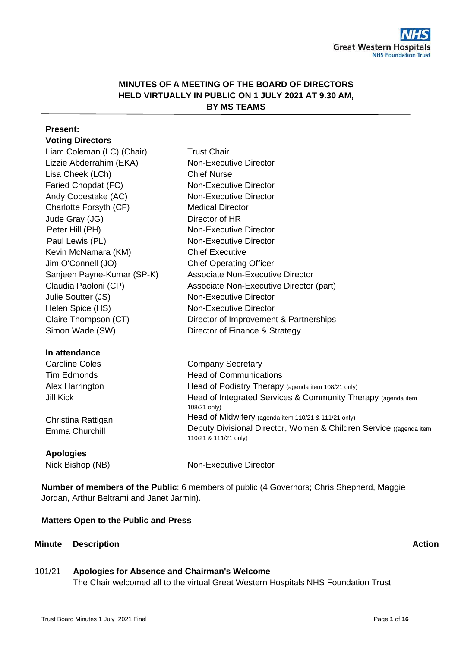# **MINUTES OF A MEETING OF THE BOARD OF DIRECTORS HELD VIRTUALLY IN PUBLIC ON 1 JULY 2021 AT 9.30 AM, BY MS TEAMS**

| <b>Present:</b>            |                                                                                             |
|----------------------------|---------------------------------------------------------------------------------------------|
| <b>Voting Directors</b>    |                                                                                             |
| Liam Coleman (LC) (Chair)  | <b>Trust Chair</b>                                                                          |
| Lizzie Abderrahim (EKA)    | <b>Non-Executive Director</b>                                                               |
| Lisa Cheek (LCh)           | <b>Chief Nurse</b>                                                                          |
| Faried Chopdat (FC)        | Non-Executive Director                                                                      |
| Andy Copestake (AC)        | <b>Non-Executive Director</b>                                                               |
| Charlotte Forsyth (CF)     | <b>Medical Director</b>                                                                     |
| Jude Gray (JG)             | Director of HR                                                                              |
| Peter Hill (PH)            | <b>Non-Executive Director</b>                                                               |
| Paul Lewis (PL)            | Non-Executive Director                                                                      |
| Kevin McNamara (KM)        | <b>Chief Executive</b>                                                                      |
| Jim O'Connell (JO)         | <b>Chief Operating Officer</b>                                                              |
| Sanjeen Payne-Kumar (SP-K) | <b>Associate Non-Executive Director</b>                                                     |
| Claudia Paoloni (CP)       | Associate Non-Executive Director (part)                                                     |
| Julie Soutter (JS)         | <b>Non-Executive Director</b>                                                               |
| Helen Spice (HS)           | <b>Non-Executive Director</b>                                                               |
| Claire Thompson (CT)       | Director of Improvement & Partnerships                                                      |
| Simon Wade (SW)            | Director of Finance & Strategy                                                              |
| In attendance              |                                                                                             |
| <b>Caroline Coles</b>      | <b>Company Secretary</b>                                                                    |
| <b>Tim Edmonds</b>         | <b>Head of Communications</b>                                                               |
| Alex Harrington            | Head of Podiatry Therapy (agenda item 108/21 only)                                          |
| <b>Jill Kick</b>           | Head of Integrated Services & Community Therapy (agenda item<br>108/21 only)                |
| Christina Rattigan         | Head of Midwifery (agenda item 110/21 & 111/21 only)                                        |
| Emma Churchill             | Deputy Divisional Director, Women & Children Service ((agenda item<br>110/21 & 111/21 only) |
| <b>Apologies</b>           |                                                                                             |
| Nick Bishop (NB)           | <b>Non-Executive Director</b>                                                               |

**Number of members of the Public**: 6 members of public (4 Governors; Chris Shepherd, Maggie Jordan, Arthur Beltrami and Janet Jarmin).

#### **Matters Open to the Public and Press**

#### **Minute Description Action Action**

#### 101/21 **Apologies for Absence and Chairman's Welcome**

The Chair welcomed all to the virtual Great Western Hospitals NHS Foundation Trust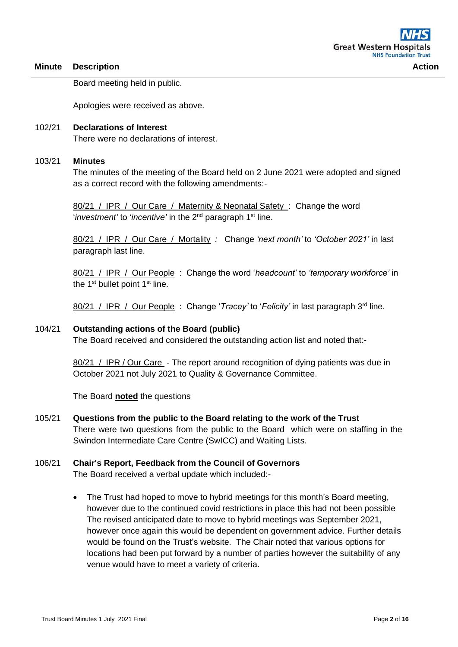Board meeting held in public.

Apologies were received as above.

### 102/21 **Declarations of Interest** There were no declarations of interest.

#### 103/21 **Minutes**

The minutes of the meeting of the Board held on 2 June 2021 were adopted and signed as a correct record with the following amendments:-

80/21 / IPR / Our Care / Maternity & Neonatal Safety : Change the word '*investment'* to '*incentive'* in the 2nd paragraph 1st line.

80/21 / IPR / Our Care / Mortality *:* Change *'next month'* to *'October 2021'* in last paragraph last line.

80/21 / IPR / Our People : Change the word '*headcount'* to *'temporary workforce'* in the 1<sup>st</sup> bullet point 1<sup>st</sup> line.

80/21 / IPR / Our People : Change '*Tracey'* to '*Felicity'* in last paragraph 3rd line.

#### 104/21 **Outstanding actions of the Board (public)**

The Board received and considered the outstanding action list and noted that:-

80/21 / IPR / Our Care - The report around recognition of dying patients was due in October 2021 not July 2021 to Quality & Governance Committee.

The Board **noted** the questions

#### 105/21 **Questions from the public to the Board relating to the work of the Trust**

There were two questions from the public to the Board which were on staffing in the Swindon Intermediate Care Centre (SwICC) and Waiting Lists.

# 106/21 **Chair's Report, Feedback from the Council of Governors**

The Board received a verbal update which included:-

• The Trust had hoped to move to hybrid meetings for this month's Board meeting, however due to the continued covid restrictions in place this had not been possible The revised anticipated date to move to hybrid meetings was September 2021, however once again this would be dependent on government advice. Further details would be found on the Trust's website. The Chair noted that various options for locations had been put forward by a number of parties however the suitability of any venue would have to meet a variety of criteria.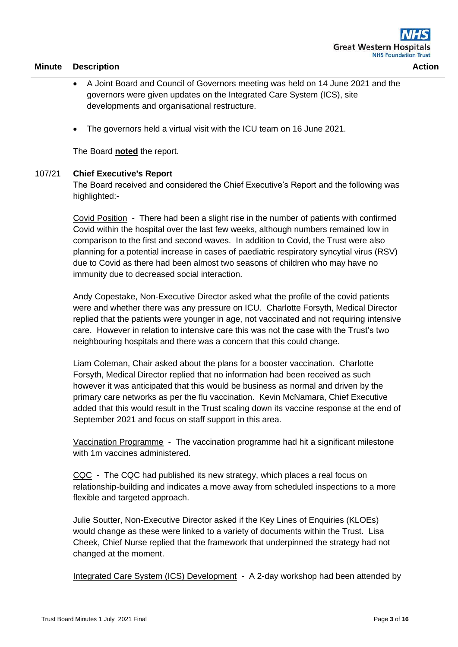- A Joint Board and Council of Governors meeting was held on 14 June 2021 and the governors were given updates on the Integrated Care System (ICS), site developments and organisational restructure.
- The governors held a virtual visit with the ICU team on 16 June 2021.

The Board **noted** the report.

# 107/21 **Chief Executive's Report**

The Board received and considered the Chief Executive's Report and the following was highlighted:-

Covid Position - There had been a slight rise in the number of patients with confirmed Covid within the hospital over the last few weeks, although numbers remained low in comparison to the first and second waves. In addition to Covid, the Trust were also planning for a potential increase in cases of paediatric respiratory syncytial virus (RSV) due to Covid as there had been almost two seasons of children who may have no immunity due to decreased social interaction.

Andy Copestake, Non-Executive Director asked what the profile of the covid patients were and whether there was any pressure on ICU. Charlotte Forsyth, Medical Director replied that the patients were younger in age, not vaccinated and not requiring intensive care. However in relation to intensive care this was not the case with the Trust's two neighbouring hospitals and there was a concern that this could change.

Liam Coleman, Chair asked about the plans for a booster vaccination. Charlotte Forsyth, Medical Director replied that no information had been received as such however it was anticipated that this would be business as normal and driven by the primary care networks as per the flu vaccination. Kevin McNamara, Chief Executive added that this would result in the Trust scaling down its vaccine response at the end of September 2021 and focus on staff support in this area.

Vaccination Programme - The vaccination programme had hit a significant milestone with 1m vaccines administered.

CQC - The CQC had published its new strategy, which places a real focus on relationship-building and indicates a move away from scheduled inspections to a more flexible and targeted approach.

Julie Soutter, Non-Executive Director asked if the Key Lines of Enquiries (KLOEs) would change as these were linked to a variety of documents within the Trust. Lisa Cheek, Chief Nurse replied that the framework that underpinned the strategy had not changed at the moment.

Integrated Care System (ICS) Development - A 2-day workshop had been attended by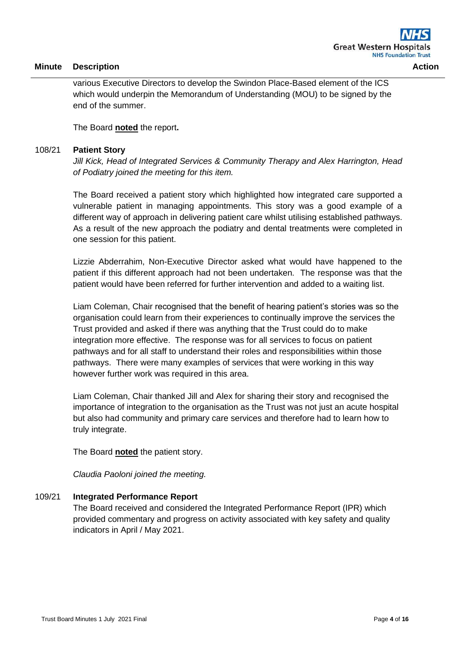various Executive Directors to develop the Swindon Place-Based element of the ICS which would underpin the Memorandum of Understanding (MOU) to be signed by the end of the summer.

The Board **noted** the report**.**

### 108/21 **Patient Story**

*Jill Kick, Head of Integrated Services & Community Therapy and Alex Harrington, Head of Podiatry joined the meeting for this item.*

The Board received a patient story which highlighted how integrated care supported a vulnerable patient in managing appointments. This story was a good example of a different way of approach in delivering patient care whilst utilising established pathways. As a result of the new approach the podiatry and dental treatments were completed in one session for this patient.

Lizzie Abderrahim, Non-Executive Director asked what would have happened to the patient if this different approach had not been undertaken. The response was that the patient would have been referred for further intervention and added to a waiting list.

Liam Coleman, Chair recognised that the benefit of hearing patient's stories was so the organisation could learn from their experiences to continually improve the services the Trust provided and asked if there was anything that the Trust could do to make integration more effective. The response was for all services to focus on patient pathways and for all staff to understand their roles and responsibilities within those pathways. There were many examples of services that were working in this way however further work was required in this area.

Liam Coleman, Chair thanked Jill and Alex for sharing their story and recognised the importance of integration to the organisation as the Trust was not just an acute hospital but also had community and primary care services and therefore had to learn how to truly integrate.

The Board **noted** the patient story.

*Claudia Paoloni joined the meeting.*

# 109/21 **Integrated Performance Report**

The Board received and considered the Integrated Performance Report (IPR) which provided commentary and progress on activity associated with key safety and quality indicators in April / May 2021.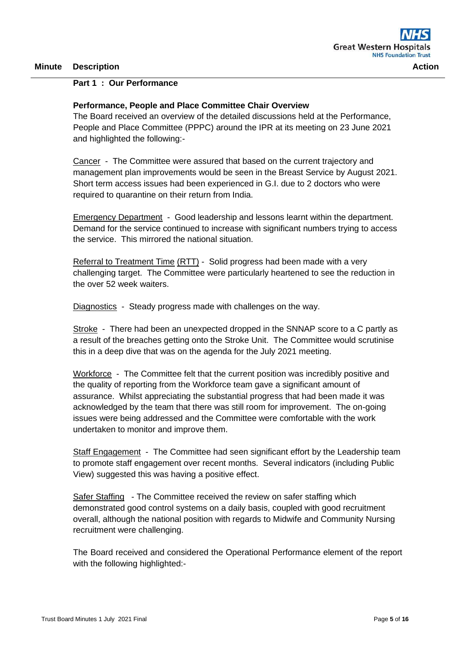# **Part 1 : Our Performance**

### **Performance, People and Place Committee Chair Overview**

The Board received an overview of the detailed discussions held at the Performance, People and Place Committee (PPPC) around the IPR at its meeting on 23 June 2021 and highlighted the following:-

Cancer - The Committee were assured that based on the current trajectory and management plan improvements would be seen in the Breast Service by August 2021. Short term access issues had been experienced in G.I. due to 2 doctors who were required to quarantine on their return from India.

Emergency Department - Good leadership and lessons learnt within the department. Demand for the service continued to increase with significant numbers trying to access the service. This mirrored the national situation.

Referral to Treatment Time (RTT) - Solid progress had been made with a very challenging target. The Committee were particularly heartened to see the reduction in the over 52 week waiters.

Diagnostics - Steady progress made with challenges on the way.

Stroke - There had been an unexpected dropped in the SNNAP score to a C partly as a result of the breaches getting onto the Stroke Unit. The Committee would scrutinise this in a deep dive that was on the agenda for the July 2021 meeting.

Workforce - The Committee felt that the current position was incredibly positive and the quality of reporting from the Workforce team gave a significant amount of assurance. Whilst appreciating the substantial progress that had been made it was acknowledged by the team that there was still room for improvement. The on-going issues were being addressed and the Committee were comfortable with the work undertaken to monitor and improve them.

Staff Engagement - The Committee had seen significant effort by the Leadership team to promote staff engagement over recent months. Several indicators (including Public View) suggested this was having a positive effect.

Safer Staffing - The Committee received the review on safer staffing which demonstrated good control systems on a daily basis, coupled with good recruitment overall, although the national position with regards to Midwife and Community Nursing recruitment were challenging.

The Board received and considered the Operational Performance element of the report with the following highlighted:-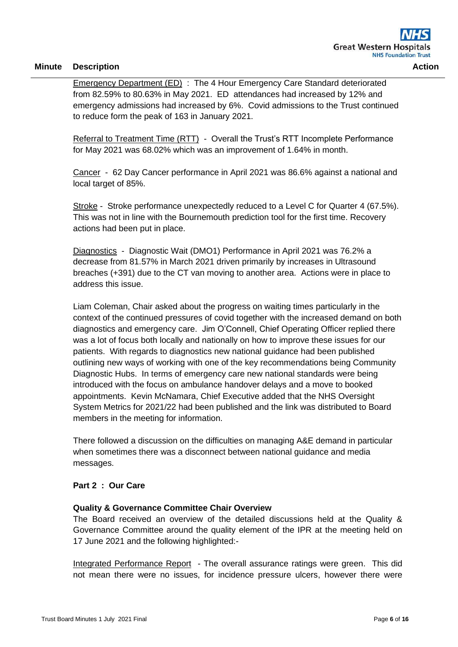Emergency Department (ED) : The 4 Hour Emergency Care Standard deteriorated from 82.59% to 80.63% in May 2021. ED attendances had increased by 12% and emergency admissions had increased by 6%. Covid admissions to the Trust continued to reduce form the peak of 163 in January 2021.

Referral to Treatment Time (RTT) - Overall the Trust's RTT Incomplete Performance for May 2021 was 68.02% which was an improvement of 1.64% in month.

Cancer - 62 Day Cancer performance in April 2021 was 86.6% against a national and local target of 85%.

Stroke - Stroke performance unexpectedly reduced to a Level C for Quarter 4 (67.5%). This was not in line with the Bournemouth prediction tool for the first time. Recovery actions had been put in place.

Diagnostics - Diagnostic Wait (DMO1) Performance in April 2021 was 76.2% a decrease from 81.57% in March 2021 driven primarily by increases in Ultrasound breaches (+391) due to the CT van moving to another area. Actions were in place to address this issue.

Liam Coleman, Chair asked about the progress on waiting times particularly in the context of the continued pressures of covid together with the increased demand on both diagnostics and emergency care. Jim O'Connell, Chief Operating Officer replied there was a lot of focus both locally and nationally on how to improve these issues for our patients. With regards to diagnostics new national guidance had been published outlining new ways of working with one of the key recommendations being Community Diagnostic Hubs. In terms of emergency care new national standards were being introduced with the focus on ambulance handover delays and a move to booked appointments. Kevin McNamara, Chief Executive added that the NHS Oversight System Metrics for 2021/22 had been published and the link was distributed to Board members in the meeting for information.

There followed a discussion on the difficulties on managing A&E demand in particular when sometimes there was a disconnect between national guidance and media messages.

# **Part 2 : Our Care**

# **Quality & Governance Committee Chair Overview**

The Board received an overview of the detailed discussions held at the Quality & Governance Committee around the quality element of the IPR at the meeting held on 17 June 2021 and the following highlighted:-

Integrated Performance Report - The overall assurance ratings were green. This did not mean there were no issues, for incidence pressure ulcers, however there were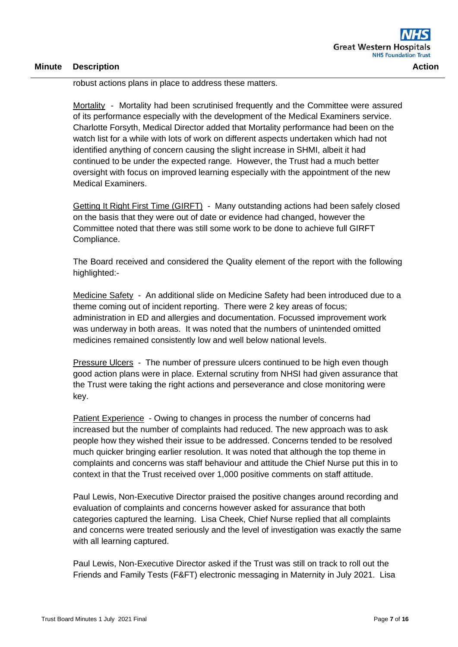robust actions plans in place to address these matters.

Mortality - Mortality had been scrutinised frequently and the Committee were assured of its performance especially with the development of the Medical Examiners service. Charlotte Forsyth, Medical Director added that Mortality performance had been on the watch list for a while with lots of work on different aspects undertaken which had not identified anything of concern causing the slight increase in SHMI, albeit it had continued to be under the expected range. However, the Trust had a much better oversight with focus on improved learning especially with the appointment of the new Medical Examiners.

Getting It Right First Time (GIRFT) - Many outstanding actions had been safely closed on the basis that they were out of date or evidence had changed, however the Committee noted that there was still some work to be done to achieve full GIRFT Compliance.

The Board received and considered the Quality element of the report with the following highlighted:-

Medicine Safety - An additional slide on Medicine Safety had been introduced due to a theme coming out of incident reporting. There were 2 key areas of focus; administration in ED and allergies and documentation. Focussed improvement work was underway in both areas. It was noted that the numbers of unintended omitted medicines remained consistently low and well below national levels.

Pressure Ulcers - The number of pressure ulcers continued to be high even though good action plans were in place. External scrutiny from NHSI had given assurance that the Trust were taking the right actions and perseverance and close monitoring were key.

Patient Experience - Owing to changes in process the number of concerns had increased but the number of complaints had reduced. The new approach was to ask people how they wished their issue to be addressed. Concerns tended to be resolved much quicker bringing earlier resolution. It was noted that although the top theme in complaints and concerns was staff behaviour and attitude the Chief Nurse put this in to context in that the Trust received over 1,000 positive comments on staff attitude.

Paul Lewis, Non-Executive Director praised the positive changes around recording and evaluation of complaints and concerns however asked for assurance that both categories captured the learning. Lisa Cheek, Chief Nurse replied that all complaints and concerns were treated seriously and the level of investigation was exactly the same with all learning captured.

Paul Lewis, Non-Executive Director asked if the Trust was still on track to roll out the Friends and Family Tests (F&FT) electronic messaging in Maternity in July 2021. Lisa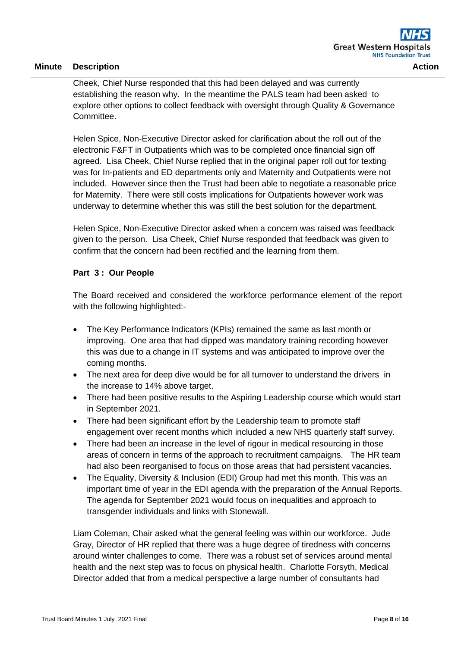Cheek, Chief Nurse responded that this had been delayed and was currently establishing the reason why. In the meantime the PALS team had been asked to explore other options to collect feedback with oversight through Quality & Governance Committee.

Helen Spice, Non-Executive Director asked for clarification about the roll out of the electronic F&FT in Outpatients which was to be completed once financial sign off agreed. Lisa Cheek, Chief Nurse replied that in the original paper roll out for texting was for In-patients and ED departments only and Maternity and Outpatients were not included. However since then the Trust had been able to negotiate a reasonable price for Maternity. There were still costs implications for Outpatients however work was underway to determine whether this was still the best solution for the department.

Helen Spice, Non-Executive Director asked when a concern was raised was feedback given to the person. Lisa Cheek, Chief Nurse responded that feedback was given to confirm that the concern had been rectified and the learning from them.

# **Part 3 : Our People**

The Board received and considered the workforce performance element of the report with the following highlighted:-

- The Key Performance Indicators (KPIs) remained the same as last month or improving. One area that had dipped was mandatory training recording however this was due to a change in IT systems and was anticipated to improve over the coming months.
- The next area for deep dive would be for all turnover to understand the drivers in the increase to 14% above target.
- There had been positive results to the Aspiring Leadership course which would start in September 2021.
- There had been significant effort by the Leadership team to promote staff engagement over recent months which included a new NHS quarterly staff survey.
- There had been an increase in the level of rigour in medical resourcing in those areas of concern in terms of the approach to recruitment campaigns. The HR team had also been reorganised to focus on those areas that had persistent vacancies.
- The Equality, Diversity & Inclusion (EDI) Group had met this month. This was an important time of year in the EDI agenda with the preparation of the Annual Reports. The agenda for September 2021 would focus on inequalities and approach to transgender individuals and links with Stonewall.

Liam Coleman, Chair asked what the general feeling was within our workforce. Jude Gray, Director of HR replied that there was a huge degree of tiredness with concerns around winter challenges to come. There was a robust set of services around mental health and the next step was to focus on physical health. Charlotte Forsyth, Medical Director added that from a medical perspective a large number of consultants had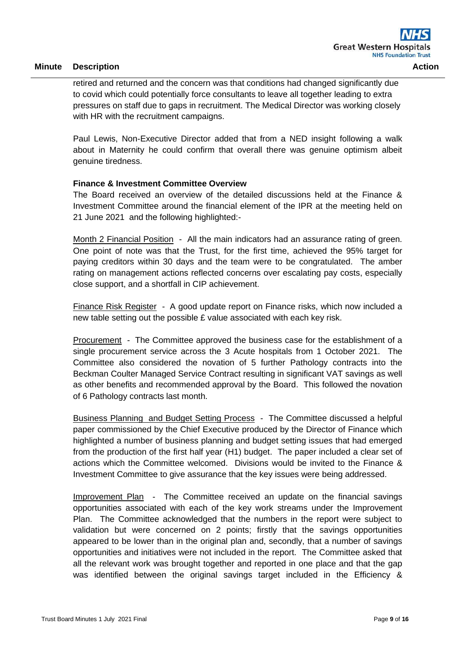retired and returned and the concern was that conditions had changed significantly due to covid which could potentially force consultants to leave all together leading to extra pressures on staff due to gaps in recruitment. The Medical Director was working closely with HR with the recruitment campaigns.

Paul Lewis, Non-Executive Director added that from a NED insight following a walk about in Maternity he could confirm that overall there was genuine optimism albeit genuine tiredness.

### **Finance & Investment Committee Overview**

The Board received an overview of the detailed discussions held at the Finance & Investment Committee around the financial element of the IPR at the meeting held on 21 June 2021 and the following highlighted:-

Month 2 Financial Position - All the main indicators had an assurance rating of green. One point of note was that the Trust, for the first time, achieved the 95% target for paying creditors within 30 days and the team were to be congratulated. The amber rating on management actions reflected concerns over escalating pay costs, especially close support, and a shortfall in CIP achievement.

Finance Risk Register - A good update report on Finance risks, which now included a new table setting out the possible £ value associated with each key risk.

Procurement - The Committee approved the business case for the establishment of a single procurement service across the 3 Acute hospitals from 1 October 2021. The Committee also considered the novation of 5 further Pathology contracts into the Beckman Coulter Managed Service Contract resulting in significant VAT savings as well as other benefits and recommended approval by the Board. This followed the novation of 6 Pathology contracts last month.

Business Planning and Budget Setting Process - The Committee discussed a helpful paper commissioned by the Chief Executive produced by the Director of Finance which highlighted a number of business planning and budget setting issues that had emerged from the production of the first half year (H1) budget. The paper included a clear set of actions which the Committee welcomed. Divisions would be invited to the Finance & Investment Committee to give assurance that the key issues were being addressed.

Improvement Plan - The Committee received an update on the financial savings opportunities associated with each of the key work streams under the Improvement Plan. The Committee acknowledged that the numbers in the report were subject to validation but were concerned on 2 points; firstly that the savings opportunities appeared to be lower than in the original plan and, secondly, that a number of savings opportunities and initiatives were not included in the report. The Committee asked that all the relevant work was brought together and reported in one place and that the gap was identified between the original savings target included in the Efficiency &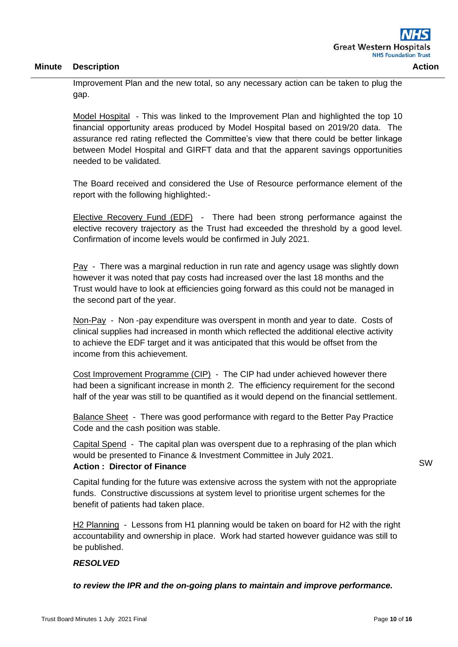Improvement Plan and the new total, so any necessary action can be taken to plug the gap.

Model Hospital - This was linked to the Improvement Plan and highlighted the top 10 financial opportunity areas produced by Model Hospital based on 2019/20 data. The assurance red rating reflected the Committee's view that there could be better linkage between Model Hospital and GIRFT data and that the apparent savings opportunities needed to be validated.

The Board received and considered the Use of Resource performance element of the report with the following highlighted:-

Elective Recovery Fund (EDF) - There had been strong performance against the elective recovery trajectory as the Trust had exceeded the threshold by a good level. Confirmation of income levels would be confirmed in July 2021.

Pay - There was a marginal reduction in run rate and agency usage was slightly down however it was noted that pay costs had increased over the last 18 months and the Trust would have to look at efficiencies going forward as this could not be managed in the second part of the year.

Non-Pay - Non -pay expenditure was overspent in month and year to date. Costs of clinical supplies had increased in month which reflected the additional elective activity to achieve the EDF target and it was anticipated that this would be offset from the income from this achievement.

Cost Improvement Programme (CIP) - The CIP had under achieved however there had been a significant increase in month 2. The efficiency requirement for the second half of the year was still to be quantified as it would depend on the financial settlement.

Balance Sheet - There was good performance with regard to the Better Pay Practice Code and the cash position was stable.

Capital Spend - The capital plan was overspent due to a rephrasing of the plan which would be presented to Finance & Investment Committee in July 2021.

# **Action : Director of Finance**

Capital funding for the future was extensive across the system with not the appropriate funds. Constructive discussions at system level to prioritise urgent schemes for the benefit of patients had taken place.

H2 Planning - Lessons from H1 planning would be taken on board for H2 with the right accountability and ownership in place. Work had started however guidance was still to be published.

# *RESOLVED*

*to review the IPR and the on-going plans to maintain and improve performance.*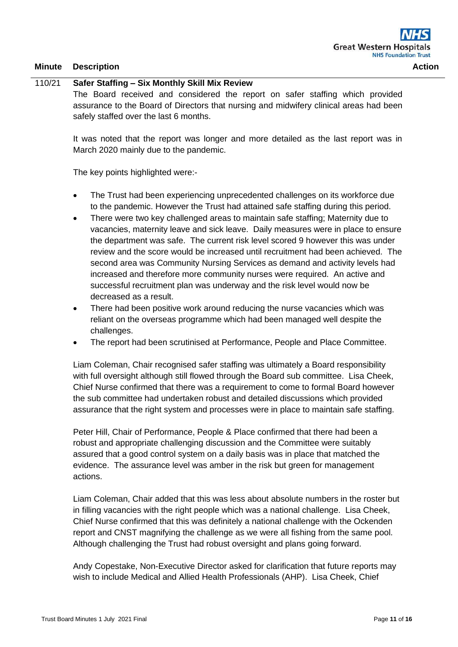### 110/21 **Safer Staffing – Six Monthly Skill Mix Review**

The Board received and considered the report on safer staffing which provided assurance to the Board of Directors that nursing and midwifery clinical areas had been safely staffed over the last 6 months.

It was noted that the report was longer and more detailed as the last report was in March 2020 mainly due to the pandemic.

The key points highlighted were:-

- The Trust had been experiencing unprecedented challenges on its workforce due to the pandemic. However the Trust had attained safe staffing during this period.
- There were two key challenged areas to maintain safe staffing; Maternity due to vacancies, maternity leave and sick leave. Daily measures were in place to ensure the department was safe. The current risk level scored 9 however this was under review and the score would be increased until recruitment had been achieved. The second area was Community Nursing Services as demand and activity levels had increased and therefore more community nurses were required. An active and successful recruitment plan was underway and the risk level would now be decreased as a result.
- There had been positive work around reducing the nurse vacancies which was reliant on the overseas programme which had been managed well despite the challenges.
- The report had been scrutinised at Performance, People and Place Committee.

Liam Coleman, Chair recognised safer staffing was ultimately a Board responsibility with full oversight although still flowed through the Board sub committee. Lisa Cheek, Chief Nurse confirmed that there was a requirement to come to formal Board however the sub committee had undertaken robust and detailed discussions which provided assurance that the right system and processes were in place to maintain safe staffing.

Peter Hill, Chair of Performance, People & Place confirmed that there had been a robust and appropriate challenging discussion and the Committee were suitably assured that a good control system on a daily basis was in place that matched the evidence. The assurance level was amber in the risk but green for management actions.

Liam Coleman, Chair added that this was less about absolute numbers in the roster but in filling vacancies with the right people which was a national challenge. Lisa Cheek, Chief Nurse confirmed that this was definitely a national challenge with the Ockenden report and CNST magnifying the challenge as we were all fishing from the same pool. Although challenging the Trust had robust oversight and plans going forward.

Andy Copestake, Non-Executive Director asked for clarification that future reports may wish to include Medical and Allied Health Professionals (AHP). Lisa Cheek, Chief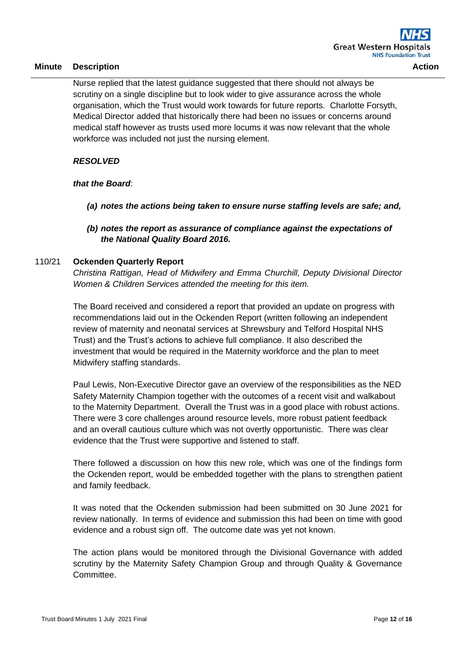Nurse replied that the latest guidance suggested that there should not always be scrutiny on a single discipline but to look wider to give assurance across the whole organisation, which the Trust would work towards for future reports. Charlotte Forsyth, Medical Director added that historically there had been no issues or concerns around medical staff however as trusts used more locums it was now relevant that the whole workforce was included not just the nursing element.

# *RESOLVED*

# *that the Board*:

- *(a) notes the actions being taken to ensure nurse staffing levels are safe; and,*
- *(b) notes the report as assurance of compliance against the expectations of the National Quality Board 2016.*

### 110/21 **Ockenden Quarterly Report**

*Christina Rattigan, Head of Midwifery and Emma Churchill, Deputy Divisional Director Women & Children Services attended the meeting for this item.*

The Board received and considered a report that provided an update on progress with recommendations laid out in the Ockenden Report (written following an independent review of maternity and neonatal services at Shrewsbury and Telford Hospital NHS Trust) and the Trust's actions to achieve full compliance. It also described the investment that would be required in the Maternity workforce and the plan to meet Midwifery staffing standards.

Paul Lewis, Non-Executive Director gave an overview of the responsibilities as the NED Safety Maternity Champion together with the outcomes of a recent visit and walkabout to the Maternity Department. Overall the Trust was in a good place with robust actions. There were 3 core challenges around resource levels, more robust patient feedback and an overall cautious culture which was not overtly opportunistic. There was clear evidence that the Trust were supportive and listened to staff.

There followed a discussion on how this new role, which was one of the findings form the Ockenden report, would be embedded together with the plans to strengthen patient and family feedback.

It was noted that the Ockenden submission had been submitted on 30 June 2021 for review nationally. In terms of evidence and submission this had been on time with good evidence and a robust sign off. The outcome date was yet not known.

The action plans would be monitored through the Divisional Governance with added scrutiny by the Maternity Safety Champion Group and through Quality & Governance Committee.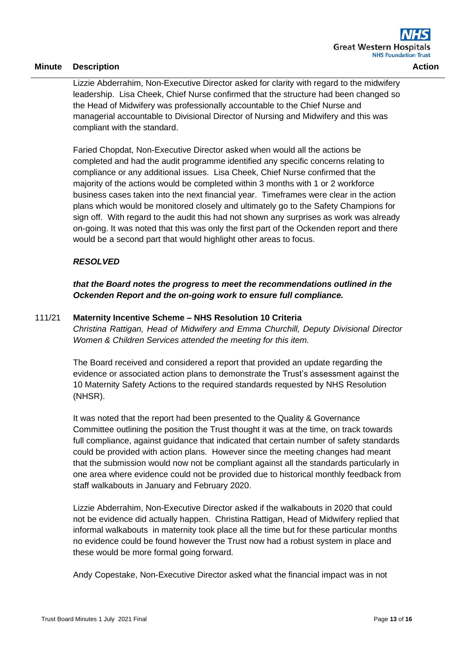Lizzie Abderrahim, Non-Executive Director asked for clarity with regard to the midwifery

leadership. Lisa Cheek, Chief Nurse confirmed that the structure had been changed so the Head of Midwifery was professionally accountable to the Chief Nurse and managerial accountable to Divisional Director of Nursing and Midwifery and this was compliant with the standard.

Faried Chopdat, Non-Executive Director asked when would all the actions be completed and had the audit programme identified any specific concerns relating to compliance or any additional issues. Lisa Cheek, Chief Nurse confirmed that the majority of the actions would be completed within 3 months with 1 or 2 workforce business cases taken into the next financial year. Timeframes were clear in the action plans which would be monitored closely and ultimately go to the Safety Champions for sign off. With regard to the audit this had not shown any surprises as work was already on-going. It was noted that this was only the first part of the Ockenden report and there would be a second part that would highlight other areas to focus.

# *RESOLVED*

*that the Board notes the progress to meet the recommendations outlined in the Ockenden Report and the on-going work to ensure full compliance.* 

### 111/21 **Maternity Incentive Scheme – NHS Resolution 10 Criteria**

*Christina Rattigan, Head of Midwifery and Emma Churchill, Deputy Divisional Director Women & Children Services attended the meeting for this item.*

The Board received and considered a report that provided an update regarding the evidence or associated action plans to demonstrate the Trust's assessment against the 10 Maternity Safety Actions to the required standards requested by NHS Resolution (NHSR).

It was noted that the report had been presented to the Quality & Governance Committee outlining the position the Trust thought it was at the time, on track towards full compliance, against guidance that indicated that certain number of safety standards could be provided with action plans. However since the meeting changes had meant that the submission would now not be compliant against all the standards particularly in one area where evidence could not be provided due to historical monthly feedback from staff walkabouts in January and February 2020.

Lizzie Abderrahim, Non-Executive Director asked if the walkabouts in 2020 that could not be evidence did actually happen. Christina Rattigan, Head of Midwifery replied that informal walkabouts in maternity took place all the time but for these particular months no evidence could be found however the Trust now had a robust system in place and these would be more formal going forward.

Andy Copestake, Non-Executive Director asked what the financial impact was in not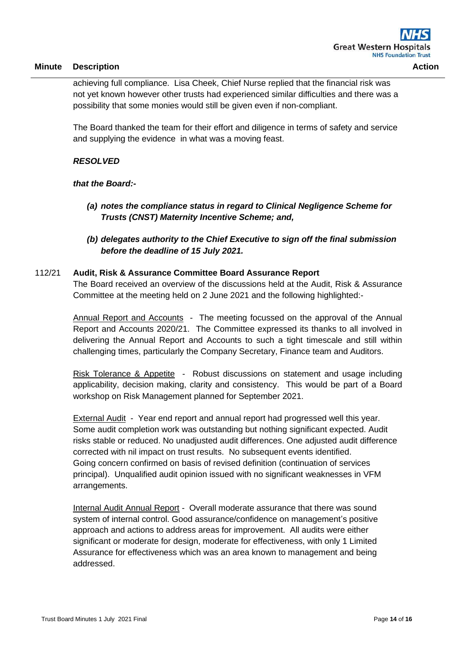achieving full compliance. Lisa Cheek, Chief Nurse replied that the financial risk was not yet known however other trusts had experienced similar difficulties and there was a possibility that some monies would still be given even if non-compliant.

The Board thanked the team for their effort and diligence in terms of safety and service and supplying the evidence in what was a moving feast.

# *RESOLVED*

# *that the Board:-*

- *(a) notes the compliance status in regard to Clinical Negligence Scheme for Trusts (CNST) Maternity Incentive Scheme; and,*
- *(b) delegates authority to the Chief Executive to sign off the final submission before the deadline of 15 July 2021.*

# 112/21 **Audit, Risk & Assurance Committee Board Assurance Report**

The Board received an overview of the discussions held at the Audit, Risk & Assurance Committee at the meeting held on 2 June 2021 and the following highlighted:-

Annual Report and Accounts - The meeting focussed on the approval of the Annual Report and Accounts 2020/21. The Committee expressed its thanks to all involved in delivering the Annual Report and Accounts to such a tight timescale and still within challenging times, particularly the Company Secretary, Finance team and Auditors.

Risk Tolerance & Appetite - Robust discussions on statement and usage including applicability, decision making, clarity and consistency. This would be part of a Board workshop on Risk Management planned for September 2021.

External Audit - Year end report and annual report had progressed well this year. Some audit completion work was outstanding but nothing significant expected. Audit risks stable or reduced. No unadjusted audit differences. One adjusted audit difference corrected with nil impact on trust results. No subsequent events identified. Going concern confirmed on basis of revised definition (continuation of services principal). Unqualified audit opinion issued with no significant weaknesses in VFM arrangements.

Internal Audit Annual Report - Overall moderate assurance that there was sound system of internal control. Good assurance/confidence on management's positive approach and actions to address areas for improvement. All audits were either significant or moderate for design, moderate for effectiveness, with only 1 Limited Assurance for effectiveness which was an area known to management and being addressed.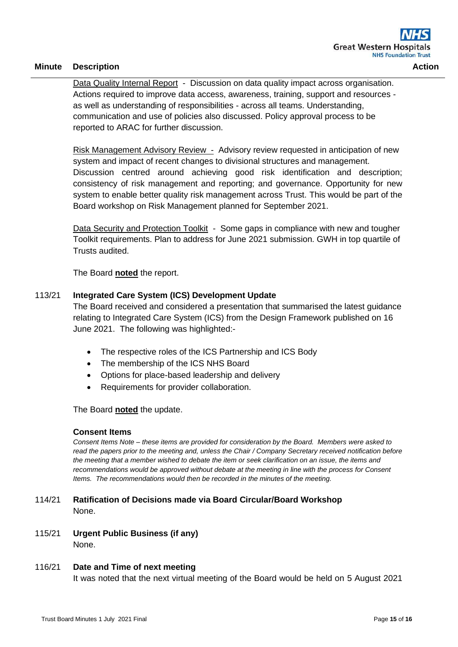Data Quality Internal Report - Discussion on data quality impact across organisation. Actions required to improve data access, awareness, training, support and resources as well as understanding of responsibilities - across all teams. Understanding, communication and use of policies also discussed. Policy approval process to be reported to ARAC for further discussion.

Risk Management Advisory Review - Advisory review requested in anticipation of new system and impact of recent changes to divisional structures and management. Discussion centred around achieving good risk identification and description; consistency of risk management and reporting; and governance. Opportunity for new system to enable better quality risk management across Trust. This would be part of the Board workshop on Risk Management planned for September 2021.

Data Security and Protection Toolkit - Some gaps in compliance with new and tougher Toolkit requirements. Plan to address for June 2021 submission. GWH in top quartile of Trusts audited.

The Board **noted** the report.

### 113/21 **Integrated Care System (ICS) Development Update**

The Board received and considered a presentation that summarised the latest guidance relating to Integrated Care System (ICS) from the Design Framework published on 16 June 2021. The following was highlighted:-

- The respective roles of the ICS Partnership and ICS Body
- The membership of the ICS NHS Board
- Options for place-based leadership and delivery
- Requirements for provider collaboration.

The Board **noted** the update.

#### **Consent Items**

*Consent Items Note – these items are provided for consideration by the Board. Members were asked to read the papers prior to the meeting and, unless the Chair / Company Secretary received notification before the meeting that a member wished to debate the item or seek clarification on an issue, the items and recommendations would be approved without debate at the meeting in line with the process for Consent Items. The recommendations would then be recorded in the minutes of the meeting.*

- 114/21 **Ratification of Decisions made via Board Circular/Board Workshop** None.
- 115/21 **Urgent Public Business (if any)** None.

#### 116/21 **Date and Time of next meeting**

It was noted that the next virtual meeting of the Board would be held on 5 August 2021